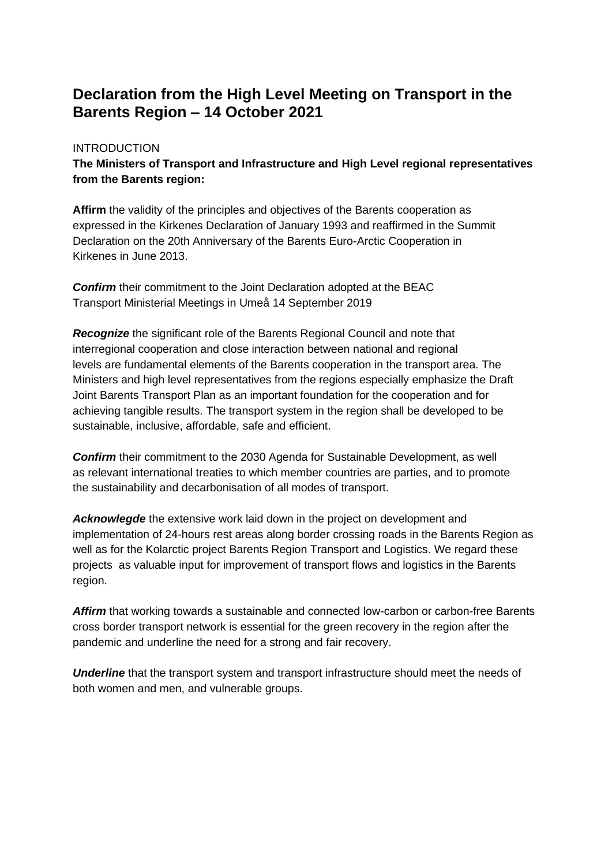## **Declaration from the High Level Meeting on Transport in the Barents Region – 14 October 2021**

## **INTRODUCTION**

**The Ministers of Transport and Infrastructure and High Level regional representatives from the Barents region:**

**Affirm** the validity of the principles and objectives of the Barents cooperation as expressed in the Kirkenes Declaration of January 1993 and reaffirmed in the Summit Declaration on the 20th Anniversary of the Barents Euro-Arctic Cooperation in Kirkenes in June 2013.

*Confirm* their commitment to the Joint Declaration adopted at the BEAC Transport Ministerial Meetings in Umeå 14 September 2019

*Recognize* the significant role of the Barents Regional Council and note that interregional cooperation and close interaction between national and regional levels are fundamental elements of the Barents cooperation in the transport area. The Ministers and high level representatives from the regions especially emphasize the Draft Joint Barents Transport Plan as an important foundation for the cooperation and for achieving tangible results. The transport system in the region shall be developed to be sustainable, inclusive, affordable, safe and efficient.

*Confirm* their commitment to the 2030 Agenda for Sustainable Development, as well as relevant international treaties to which member countries are parties, and to promote the sustainability and decarbonisation of all modes of transport.

*Acknowlegde* the extensive work laid down in the project on development and implementation of 24-hours rest areas along border crossing roads in the Barents Region as well as for the Kolarctic project Barents Region Transport and Logistics. We regard these projects as valuable input for improvement of transport flows and logistics in the Barents region.

Affirm that working towards a sustainable and connected low-carbon or carbon-free Barents cross border transport network is essential for the green recovery in the region after the pandemic and underline the need for a strong and fair recovery.

**Underline** that the transport system and transport infrastructure should meet the needs of both women and men, and vulnerable groups.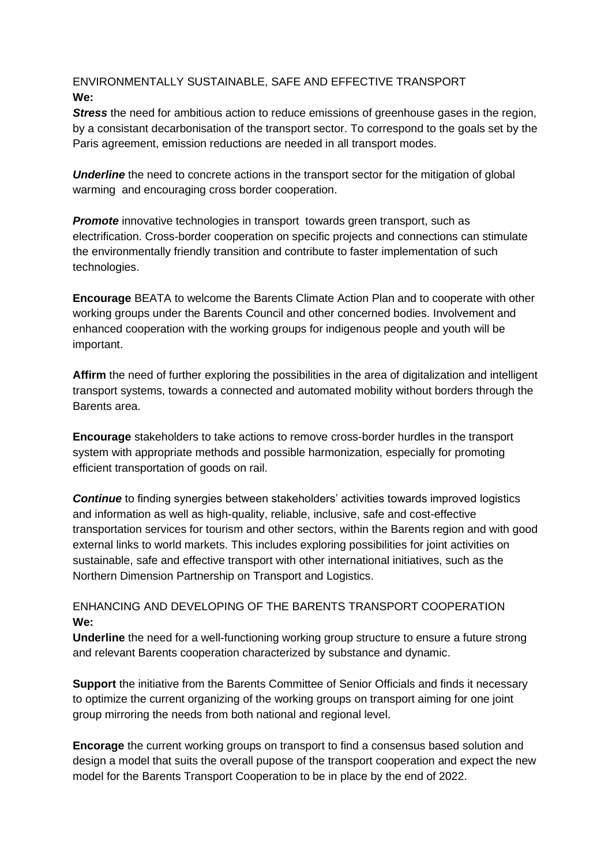## ENVIRONMENTALLY SUSTAINABLE, SAFE AND EFFECTIVE TRANSPORT **We:**

*Stress* the need for ambitious action to reduce emissions of greenhouse gases in the region, by a consistant decarbonisation of the transport sector. To correspond to the goals set by the Paris agreement, emission reductions are needed in all transport modes.

**Underline** the need to concrete actions in the transport sector for the mitigation of global warming and encouraging cross border cooperation.

*Promote* innovative technologies in transport towards green transport, such as electrification. Cross-border cooperation on specific projects and connections can stimulate the environmentally friendly transition and contribute to faster implementation of such technologies.

**Encourage** BEATA to welcome the Barents Climate Action Plan and to cooperate with other working groups under the Barents Council and other concerned bodies. Involvement and enhanced cooperation with the working groups for indigenous people and youth will be important.

**Affirm** the need of further exploring the possibilities in the area of digitalization and intelligent transport systems, towards a connected and automated mobility without borders through the Barents area.

**Encourage** stakeholders to take actions to remove cross-border hurdles in the transport system with appropriate methods and possible harmonization, especially for promoting efficient transportation of goods on rail.

*Continue* to finding synergies between stakeholders' activities towards improved logistics and information as well as high-quality, reliable, inclusive, safe and cost-effective transportation services for tourism and other sectors, within the Barents region and with good external links to world markets. This includes exploring possibilities for joint activities on sustainable, safe and effective transport with other international initiatives, such as the Northern Dimension Partnership on Transport and Logistics.

ENHANCING AND DEVELOPING OF THE BARENTS TRANSPORT COOPERATION **We:**

**Underline** the need for a well-functioning working group structure to ensure a future strong and relevant Barents cooperation characterized by substance and dynamic.

**Support** the initiative from the Barents Committee of Senior Officials and finds it necessary to optimize the current organizing of the working groups on transport aiming for one joint group mirroring the needs from both national and regional level.

**Encorage** the current working groups on transport to find a consensus based solution and design a model that suits the overall pupose of the transport cooperation and expect the new model for the Barents Transport Cooperation to be in place by the end of 2022.